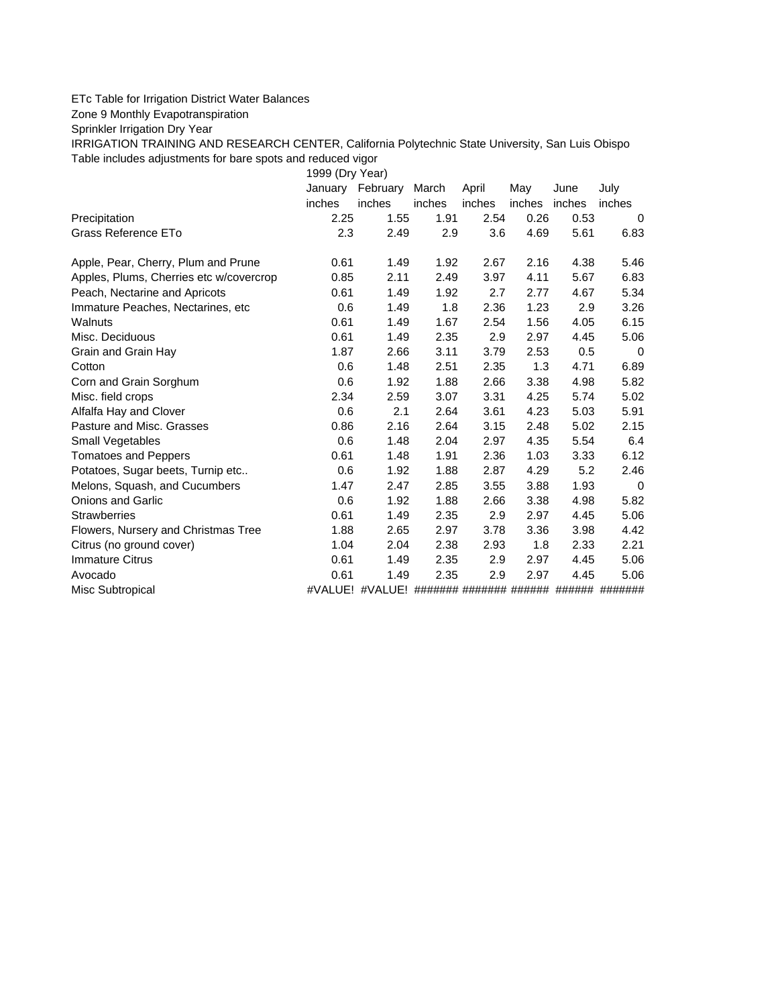## ETc Table for Irrigation District Water Balances

Zone 9 Monthly Evapotranspiration

Sprinkler Irrigation Dry Year

IRRIGATION TRAINING AND RESEARCH CENTER, California Polytechnic State University, San Luis Obispo Table includes adjustments for bare spots and reduced vigor

1999 (Dry Year)

|                                         | January February |                 | March                   | April  | May    | June   | July     |
|-----------------------------------------|------------------|-----------------|-------------------------|--------|--------|--------|----------|
|                                         | inches           | inches          | inches                  | inches | inches | inches | inches   |
| Precipitation                           | 2.25             | 1.55            | 1.91                    | 2.54   | 0.26   | 0.53   | $\Omega$ |
| Grass Reference ETo                     | 2.3              | 2.49            | 2.9                     | 3.6    | 4.69   | 5.61   | 6.83     |
| Apple, Pear, Cherry, Plum and Prune     | 0.61             | 1.49            | 1.92                    | 2.67   | 2.16   | 4.38   | 5.46     |
| Apples, Plums, Cherries etc w/covercrop | 0.85             | 2.11            | 2.49                    | 3.97   | 4.11   | 5.67   | 6.83     |
| Peach, Nectarine and Apricots           | 0.61             | 1.49            | 1.92                    | 2.7    | 2.77   | 4.67   | 5.34     |
| Immature Peaches, Nectarines, etc.      | 0.6              | 1.49            | 1.8                     | 2.36   | 1.23   | 2.9    | 3.26     |
| Walnuts                                 | 0.61             | 1.49            | 1.67                    | 2.54   | 1.56   | 4.05   | 6.15     |
| Misc. Deciduous                         | 0.61             | 1.49            | 2.35                    | 2.9    | 2.97   | 4.45   | 5.06     |
| Grain and Grain Hay                     | 1.87             | 2.66            | 3.11                    | 3.79   | 2.53   | 0.5    | $\Omega$ |
| Cotton                                  | 0.6              | 1.48            | 2.51                    | 2.35   | 1.3    | 4.71   | 6.89     |
| Corn and Grain Sorghum                  | 0.6              | 1.92            | 1.88                    | 2.66   | 3.38   | 4.98   | 5.82     |
| Misc. field crops                       | 2.34             | 2.59            | 3.07                    | 3.31   | 4.25   | 5.74   | 5.02     |
| Alfalfa Hay and Clover                  | 0.6              | 2.1             | 2.64                    | 3.61   | 4.23   | 5.03   | 5.91     |
| Pasture and Misc. Grasses               | 0.86             | 2.16            | 2.64                    | 3.15   | 2.48   | 5.02   | 2.15     |
| Small Vegetables                        | 0.6              | 1.48            | 2.04                    | 2.97   | 4.35   | 5.54   | 6.4      |
| <b>Tomatoes and Peppers</b>             | 0.61             | 1.48            | 1.91                    | 2.36   | 1.03   | 3.33   | 6.12     |
| Potatoes, Sugar beets, Turnip etc       | 0.6              | 1.92            | 1.88                    | 2.87   | 4.29   | 5.2    | 2.46     |
| Melons, Squash, and Cucumbers           | 1.47             | 2.47            | 2.85                    | 3.55   | 3.88   | 1.93   | 0        |
| <b>Onions and Garlic</b>                | 0.6              | 1.92            | 1.88                    | 2.66   | 3.38   | 4.98   | 5.82     |
| <b>Strawberries</b>                     | 0.61             | 1.49            | 2.35                    | 2.9    | 2.97   | 4.45   | 5.06     |
| Flowers, Nursery and Christmas Tree     | 1.88             | 2.65            | 2.97                    | 3.78   | 3.36   | 3.98   | 4.42     |
| Citrus (no ground cover)                | 1.04             | 2.04            | 2.38                    | 2.93   | 1.8    | 2.33   | 2.21     |
| <b>Immature Citrus</b>                  | 0.61             | 1.49            | 2.35                    | 2.9    | 2.97   | 4.45   | 5.06     |
| Avocado                                 | 0.61             | 1.49            | 2.35                    | 2.9    | 2.97   | 4.45   | 5.06     |
| Misc Subtropical                        |                  | #VALUE! #VALUE! | ######## ####### ###### |        |        | ###### | #######  |